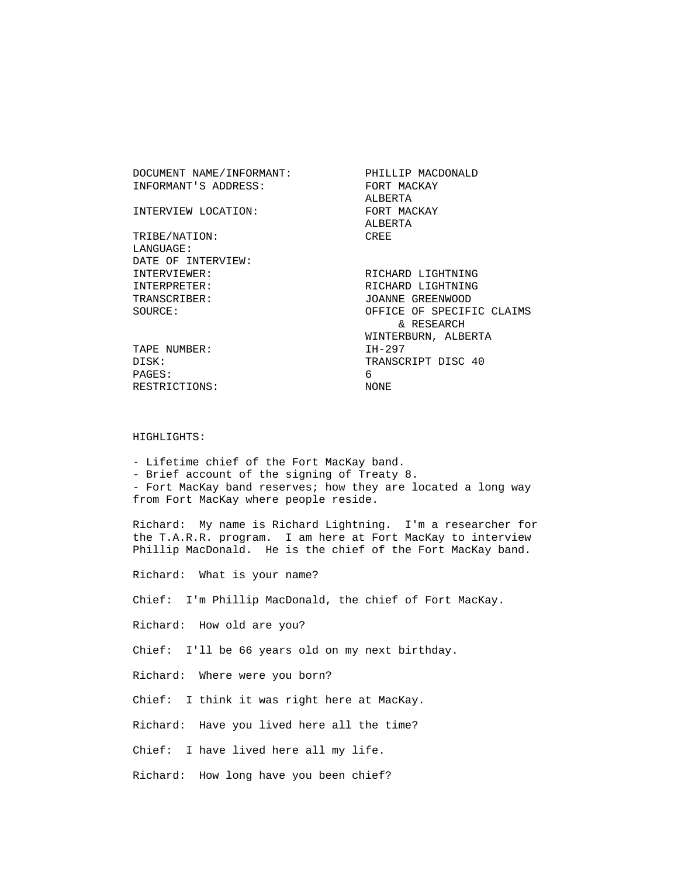| DOCUMENT NAME/INFORMANT: | PHILLIP MACDONALD         |
|--------------------------|---------------------------|
| INFORMANT'S ADDRESS:     | FORT MACKAY               |
|                          | ALBERTA                   |
| INTERVIEW LOCATION:      | FORT MACKAY               |
|                          | ALBERTA                   |
| TRIBE/NATION:            | CREE                      |
| LANGUAGE:                |                           |
| DATE OF INTERVIEW:       |                           |
| INTERVIEWER:             | RICHARD LIGHTNING         |
| INTERPRETER:             | RICHARD LIGHTNING         |
| TRANSCRIBER:             | JOANNE GREENWOOD          |
| SOURCE:                  | OFFICE OF SPECIFIC CLAIMS |
|                          | & RESEARCH                |
|                          | WINTERBURN, ALBERTA       |
| TAPE NUMBER:             | IH-297                    |
| DISK:                    | TRANSCRIPT DISC 40        |
| PAGES:                   | 6                         |
| RESTRICTIONS:            | NONE                      |
|                          |                           |

## HIGHLIGHTS:

 - Lifetime chief of the Fort MacKay band. - Brief account of the signing of Treaty 8. - Fort MacKay band reserves; how they are located a long way from Fort MacKay where people reside.

 Richard: My name is Richard Lightning. I'm a researcher for the T.A.R.R. program. I am here at Fort MacKay to interview Phillip MacDonald. He is the chief of the Fort MacKay band.

Richard: What is your name?

Chief: I'm Phillip MacDonald, the chief of Fort MacKay.

Richard: How old are you?

Chief: I'll be 66 years old on my next birthday.

Richard: Where were you born?

Chief: I think it was right here at MacKay.

Richard: Have you lived here all the time?

Chief: I have lived here all my life.

Richard: How long have you been chief?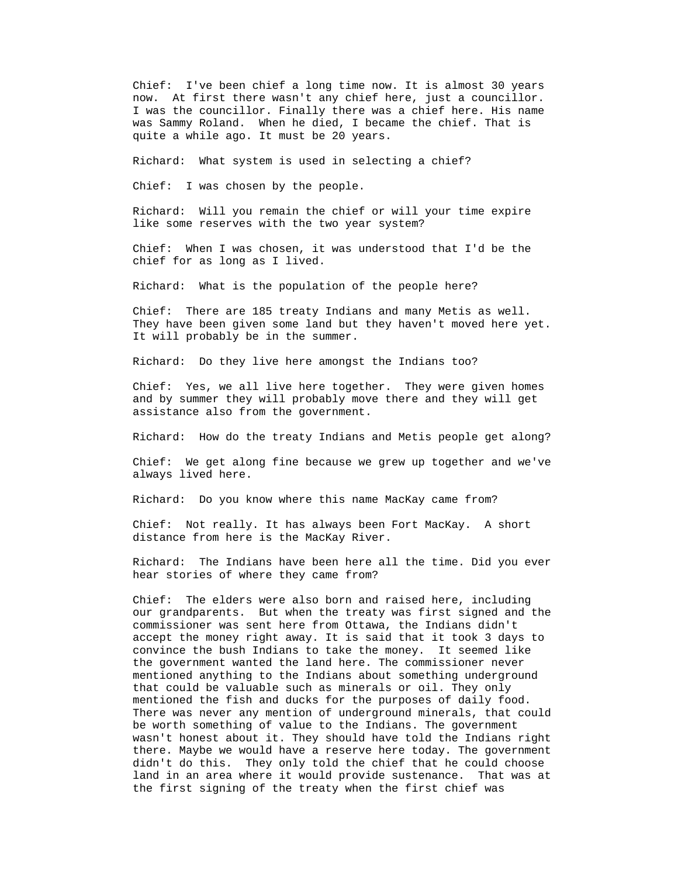Chief: I've been chief a long time now. It is almost 30 years now. At first there wasn't any chief here, just a councillor. I was the councillor. Finally there was a chief here. His name was Sammy Roland. When he died, I became the chief. That is quite a while ago. It must be 20 years.

Richard: What system is used in selecting a chief?

Chief: I was chosen by the people.

 Richard: Will you remain the chief or will your time expire like some reserves with the two year system?

 Chief: When I was chosen, it was understood that I'd be the chief for as long as I lived.

Richard: What is the population of the people here?

 Chief: There are 185 treaty Indians and many Metis as well. They have been given some land but they haven't moved here yet. It will probably be in the summer.

Richard: Do they live here amongst the Indians too?

 Chief: Yes, we all live here together. They were given homes and by summer they will probably move there and they will get assistance also from the government.

Richard: How do the treaty Indians and Metis people get along?

 Chief: We get along fine because we grew up together and we've always lived here.

Richard: Do you know where this name MacKay came from?

 Chief: Not really. It has always been Fort MacKay. A short distance from here is the MacKay River.

 Richard: The Indians have been here all the time. Did you ever hear stories of where they came from?

 Chief: The elders were also born and raised here, including our grandparents. But when the treaty was first signed and the commissioner was sent here from Ottawa, the Indians didn't accept the money right away. It is said that it took 3 days to convince the bush Indians to take the money. It seemed like the government wanted the land here. The commissioner never mentioned anything to the Indians about something underground that could be valuable such as minerals or oil. They only mentioned the fish and ducks for the purposes of daily food. There was never any mention of underground minerals, that could be worth something of value to the Indians. The government wasn't honest about it. They should have told the Indians right there. Maybe we would have a reserve here today. The government didn't do this. They only told the chief that he could choose land in an area where it would provide sustenance. That was at the first signing of the treaty when the first chief was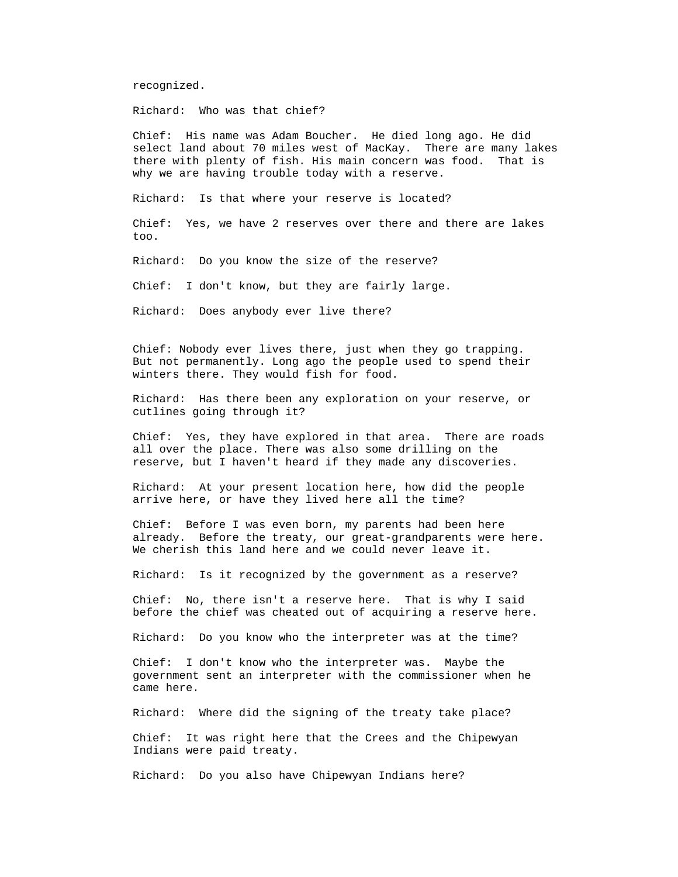recognized.

Richard: Who was that chief?

 Chief: His name was Adam Boucher. He died long ago. He did select land about 70 miles west of MacKay. There are many lakes there with plenty of fish. His main concern was food. That is why we are having trouble today with a reserve.

Richard: Is that where your reserve is located?

 Chief: Yes, we have 2 reserves over there and there are lakes too.

Richard: Do you know the size of the reserve?

Chief: I don't know, but they are fairly large.

Richard: Does anybody ever live there?

 Chief: Nobody ever lives there, just when they go trapping. But not permanently. Long ago the people used to spend their winters there. They would fish for food.

 Richard: Has there been any exploration on your reserve, or cutlines going through it?

 Chief: Yes, they have explored in that area. There are roads all over the place. There was also some drilling on the reserve, but I haven't heard if they made any discoveries.

 Richard: At your present location here, how did the people arrive here, or have they lived here all the time?

 Chief: Before I was even born, my parents had been here already. Before the treaty, our great-grandparents were here. We cherish this land here and we could never leave it.

Richard: Is it recognized by the government as a reserve?

 Chief: No, there isn't a reserve here. That is why I said before the chief was cheated out of acquiring a reserve here.

Richard: Do you know who the interpreter was at the time?

 Chief: I don't know who the interpreter was. Maybe the government sent an interpreter with the commissioner when he came here.

Richard: Where did the signing of the treaty take place?

 Chief: It was right here that the Crees and the Chipewyan Indians were paid treaty.

Richard: Do you also have Chipewyan Indians here?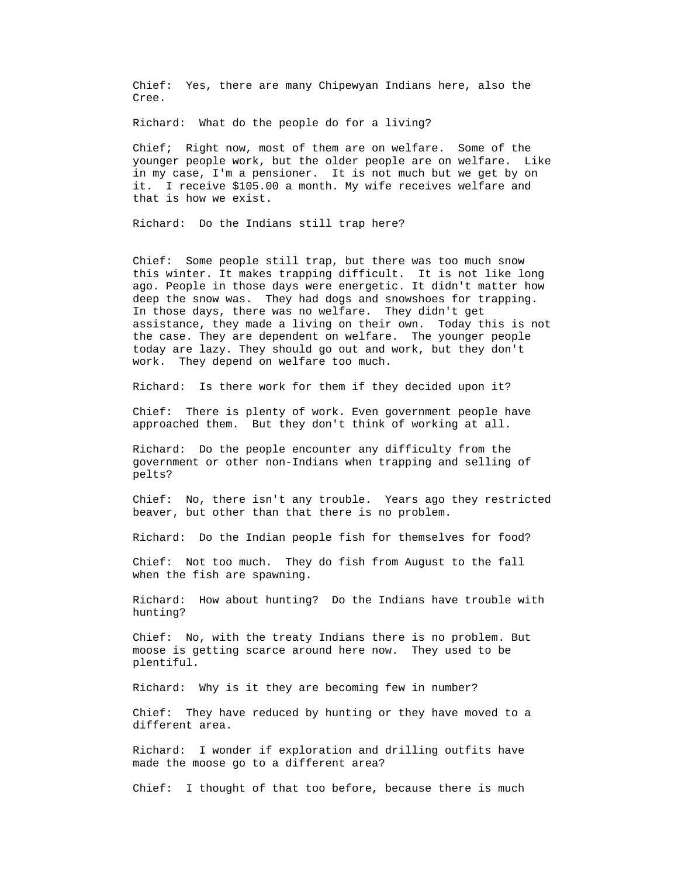Chief: Yes, there are many Chipewyan Indians here, also the Cree.

Richard: What do the people do for a living?

 Chief; Right now, most of them are on welfare. Some of the younger people work, but the older people are on welfare. Like in my case, I'm a pensioner. It is not much but we get by on it. I receive \$105.00 a month. My wife receives welfare and that is how we exist.

Richard: Do the Indians still trap here?

 Chief: Some people still trap, but there was too much snow this winter. It makes trapping difficult. It is not like long ago. People in those days were energetic. It didn't matter how deep the snow was. They had dogs and snowshoes for trapping. In those days, there was no welfare. They didn't get assistance, they made a living on their own. Today this is not the case. They are dependent on welfare. The younger people today are lazy. They should go out and work, but they don't work. They depend on welfare too much.

Richard: Is there work for them if they decided upon it?

 Chief: There is plenty of work. Even government people have approached them. But they don't think of working at all.

 Richard: Do the people encounter any difficulty from the government or other non-Indians when trapping and selling of pelts?

 Chief: No, there isn't any trouble. Years ago they restricted beaver, but other than that there is no problem.

Richard: Do the Indian people fish for themselves for food?

 Chief: Not too much. They do fish from August to the fall when the fish are spawning.

 Richard: How about hunting? Do the Indians have trouble with hunting?

 Chief: No, with the treaty Indians there is no problem. But moose is getting scarce around here now. They used to be plentiful.

Richard: Why is it they are becoming few in number?

 Chief: They have reduced by hunting or they have moved to a different area.

 Richard: I wonder if exploration and drilling outfits have made the moose go to a different area?

Chief: I thought of that too before, because there is much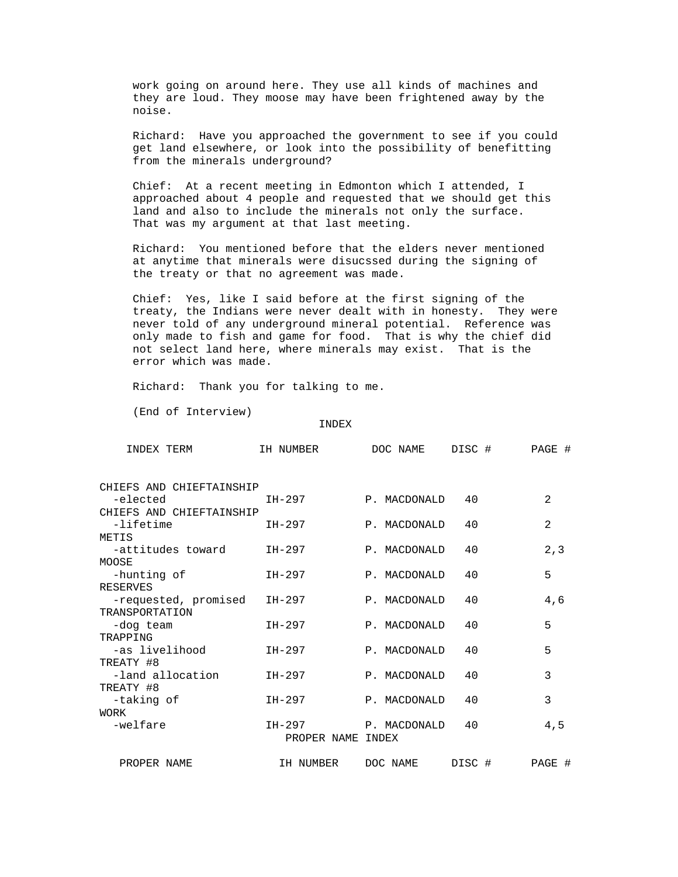work going on around here. They use all kinds of machines and they are loud. They moose may have been frightened away by the noise.

 Richard: Have you approached the government to see if you could get land elsewhere, or look into the possibility of benefitting from the minerals underground?

 Chief: At a recent meeting in Edmonton which I attended, I approached about 4 people and requested that we should get this land and also to include the minerals not only the surface. That was my argument at that last meeting.

 Richard: You mentioned before that the elders never mentioned at anytime that minerals were disucssed during the signing of the treaty or that no agreement was made.

 Chief: Yes, like I said before at the first signing of the treaty, the Indians were never dealt with in honesty. They were never told of any underground mineral potential. Reference was only made to fish and game for food. That is why the chief did not select land here, where minerals may exist. That is the error which was made.

Richard: Thank you for talking to me.

(End of Interview)

INDEX

| INDEX TERM                             | IH NUMBER                   | DOC NAME     | DISC # | PAGE # |
|----------------------------------------|-----------------------------|--------------|--------|--------|
| CHIEFS AND CHIEFTAINSHIP               |                             |              |        |        |
| -elected                               | IH-297                      | P. MACDONALD | 40     | 2      |
| CHIEFS AND CHIEFTAINSHIP               |                             |              |        |        |
| -lifetime                              | IH-297                      | P. MACDONALD | 40     | 2      |
| METIS                                  |                             |              |        |        |
| -attitudes toward                      | IH-297                      | P. MACDONALD | 40     | 2, 3   |
| MOOSE                                  |                             |              |        |        |
| -hunting of                            | IH-297                      | P. MACDONALD | 40     | 5      |
| <b>RESERVES</b>                        |                             |              |        |        |
| -requested, promised<br>TRANSPORTATION | IH-297                      | P. MACDONALD | 40     | 4,6    |
| -dog team                              | IH-297                      | P. MACDONALD | 40     | 5      |
| TRAPPING                               |                             |              |        |        |
| -as livelihood                         | IH-297                      | P. MACDONALD | 40     | 5      |
| TREATY #8                              |                             |              |        |        |
| -land allocation                       | IH-297                      | P. MACDONALD | 40     | 3      |
| TREATY #8                              |                             |              |        |        |
| -taking of                             | IH-297                      | P. MACDONALD | 40     | 3      |
| <b>WORK</b>                            |                             |              |        |        |
| -welfare                               | IH-297<br>PROPER NAME INDEX | P. MACDONALD | 40     | 4,5    |
| PROPER NAME                            | IH NUMBER                   | DOC NAME     | DISC # | PAGE # |